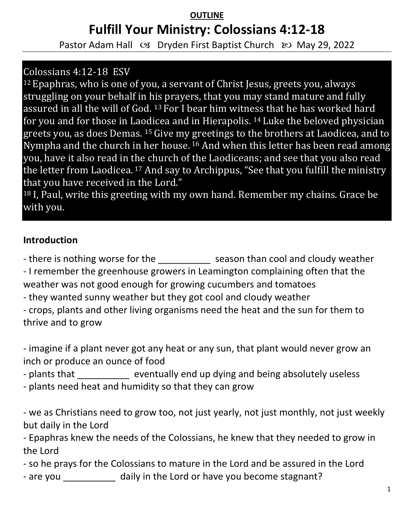# **OUTLINE Fulfill Your Ministry: Colossians 4:12-18**

Pastor Adam Hall  $\infty$  Dryden First Baptist Church  $\infty$  May 29, 2022

## Colossians 4:12-18 ESV

<sup>12</sup>Epaphras, who is one of you, a servant of Christ Jesus, greets you, always struggling on your behalf in his prayers, that you may stand mature and fully assured in all the will of God. 13 For I bear him witness that he has worked hard for you and for those in Laodicea and in Hierapolis. 14 Luke the beloved physician greets you, as does Demas. 15 Give my greetings to the brothers at Laodicea, and to Nympha and the church in her house. <sup>16</sup> And when this letter has been read among you, have it also read in the church of the Laodiceans; and see that you also read the letter from Laodicea. <sup>17</sup> And say to Archippus, "See that you fulfill the ministry that you have received in the Lord."

<sup>18</sup> I, Paul, write this greeting with my own hand. Remember my chains. Grace be with you.

#### **Introduction**

- there is nothing worse for the season than cool and cloudy weather - I remember the greenhouse growers in Leamington complaining often that the weather was not good enough for growing cucumbers and tomatoes

- they wanted sunny weather but they got cool and cloudy weather

- crops, plants and other living organisms need the heat and the sun for them to thrive and to grow

- imagine if a plant never got any heat or any sun, that plant would never grow an inch or produce an ounce of food

- plants that eventually end up dying and being absolutely useless

- plants need heat and humidity so that they can grow

- we as Christians need to grow too, not just yearly, not just monthly, not just weekly but daily in the Lord

- Epaphras knew the needs of the Colossians, he knew that they needed to grow in the Lord

- so he prays for the Colossians to mature in the Lord and be assured in the Lord

- are you \_\_\_\_\_\_\_\_\_\_ daily in the Lord or have you become stagnant?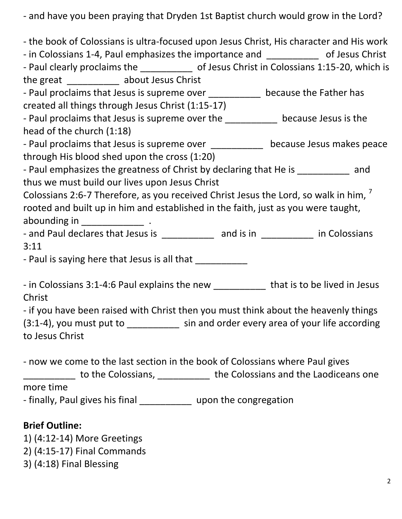- and have you been praying that Dryden 1st Baptist church would grow in the Lord?

| - the book of Colossians is ultra-focused upon Jesus Christ, His character and His work     |  |  |  |
|---------------------------------------------------------------------------------------------|--|--|--|
| - in Colossians 1-4, Paul emphasizes the importance and _____________ of Jesus Christ       |  |  |  |
| - Paul clearly proclaims the ______________ of Jesus Christ in Colossians 1:15-20, which is |  |  |  |
| the great ____________ about Jesus Christ                                                   |  |  |  |
| - Paul proclaims that Jesus is supreme over ____________ because the Father has             |  |  |  |
| created all things through Jesus Christ (1:15-17)                                           |  |  |  |
| - Paul proclaims that Jesus is supreme over the __________ because Jesus is the             |  |  |  |
| head of the church (1:18)                                                                   |  |  |  |
| - Paul proclaims that Jesus is supreme over ____________ because Jesus makes peace          |  |  |  |
| through His blood shed upon the cross (1:20)                                                |  |  |  |
| - Paul emphasizes the greatness of Christ by declaring that He is __________ and            |  |  |  |
| thus we must build our lives upon Jesus Christ                                              |  |  |  |
| Colossians 2:6-7 Therefore, as you received Christ Jesus the Lord, so walk in him,          |  |  |  |
| rooted and built up in him and established in the faith, just as you were taught,           |  |  |  |
|                                                                                             |  |  |  |
| - and Paul declares that Jesus is ______________ and is in ___________ in Colossians        |  |  |  |
| 3:11                                                                                        |  |  |  |
| - Paul is saying here that Jesus is all that ___________                                    |  |  |  |
| - in Colossians 3:1-4:6 Paul explains the new ____________ that is to be lived in Jesus     |  |  |  |
| Christ                                                                                      |  |  |  |
| - if you have been raised with Christ then you must think about the heavenly things         |  |  |  |
| (3:1-4), you must put to ___________ sin and order every area of your life according        |  |  |  |
| to Jesus Christ                                                                             |  |  |  |
|                                                                                             |  |  |  |
| - now we come to the last section in the book of Colossians where Paul gives                |  |  |  |
| the Colossians, The Colossians, 2008, The Colossians and the Laodiceans one                 |  |  |  |
| more time                                                                                   |  |  |  |
| - finally, Paul gives his final _____________ upon the congregation                         |  |  |  |
| <b>Brief Outline:</b>                                                                       |  |  |  |
| 1) (4:12-14) More Greetings                                                                 |  |  |  |

- 2) (4:15-17) Final Commands
- 3) (4:18) Final Blessing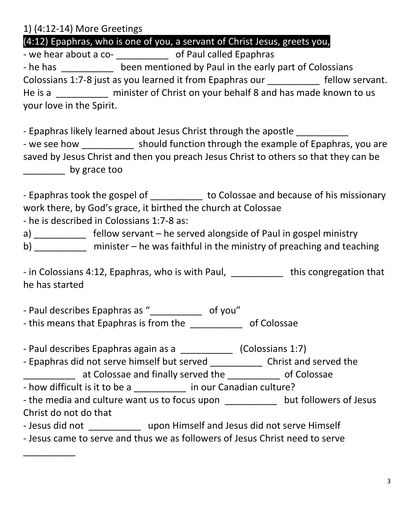1) (4:12-14) More Greetings

(4:12) Epaphras, who is one of you, a servant of Christ Jesus, greets you,

- we hear about a co- \_\_\_\_\_\_\_\_\_\_\_\_\_\_ of Paul called Epaphras - he has been mentioned by Paul in the early part of Colossians Colossians 1:7-8 just as you learned it from Epaphras our fellow servant. He is a \_\_\_\_\_\_\_\_\_\_ minister of Christ on your behalf 8 and has made known to us your love in the Spirit.

- Epaphras likely learned about Jesus Christ through the apostle

- we see how \_\_\_\_\_\_\_\_\_\_\_\_ should function through the example of Epaphras, you are saved by Jesus Christ and then you preach Jesus Christ to others so that they can be \_\_\_\_\_\_\_\_ by grace too

- Epaphras took the gospel of \_\_\_\_\_\_\_\_\_\_\_ to Colossae and because of his missionary work there, by God's grace, it birthed the church at Colossae

- he is described in Colossians 1:7-8 as:

\_\_\_\_\_\_\_\_\_\_

a) fellow servant – he served alongside of Paul in gospel ministry b) \_\_\_\_\_\_\_\_\_ minister – he was faithful in the ministry of preaching and teaching

- in Colossians 4:12, Epaphras, who is with Paul, \_\_\_\_\_\_\_\_\_\_ this congregation that he has started

- Paul describes Epaphras as "\_\_\_\_\_\_\_\_\_\_\_\_ of you" - this means that Epaphras is from the \_\_\_\_\_\_\_\_\_\_\_\_\_ of Colossae

- Paul describes Epaphras again as a \_\_\_\_\_\_\_\_\_\_\_\_\_ (Colossians 1:7)

- Epaphras did not serve himself but served \_\_\_\_\_\_\_\_\_\_\_\_\_\_\_ Christ and served the \_\_\_\_\_\_\_\_\_\_ at Colossae and finally served the \_\_\_\_\_\_\_\_\_\_ of Colossae

- how difficult is it to be a \_\_\_\_\_\_\_\_\_\_\_ in our Canadian culture?

- the media and culture want us to focus upon but followers of Jesus Christ do not do that

- Jesus did not **upon Himself and Jesus did not serve Himself** 

- Jesus came to serve and thus we as followers of Jesus Christ need to serve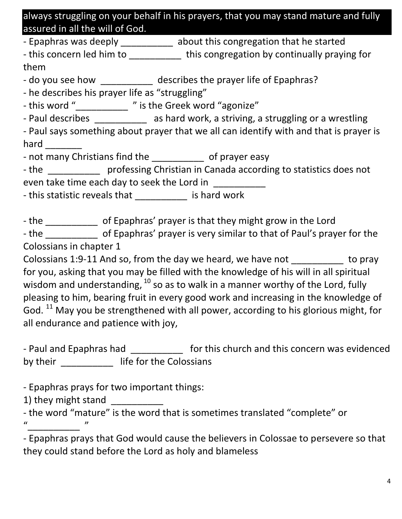always struggling on your behalf in his prayers, that you may stand mature and fully assured in all the will of God.

- Epaphras was deeply \_\_\_\_\_\_\_\_\_\_\_ about this congregation that he started

- this concern led him to \_\_\_\_\_\_\_\_\_\_\_\_ this congregation by continually praying for them

- do you see how describes the prayer life of Epaphras?

- he describes his prayer life as "struggling"

- this word "\_\_\_\_\_\_\_\_\_\_\_ " is the Greek word "agonize"

- Paul describes \_\_\_\_\_\_\_\_\_\_\_ as hard work, a striving, a struggling or a wrestling

- Paul says something about prayer that we all can identify with and that is prayer is hard  $\qquad \qquad$ 

- not many Christians find the \_\_\_\_\_\_\_\_\_\_\_ of prayer easy

- the **come professing Christian in Canada according to statistics does not** even take time each day to seek the Lord in

- this statistic reveals that \_\_\_\_\_\_\_\_\_\_\_\_ is hard work

- the contemportal of Epaphras' prayer is that they might grow in the Lord

- the discrept of Epaphras' prayer is very similar to that of Paul's prayer for the Colossians in chapter 1

Colossians 1:9-11 And so, from the day we heard, we have not to pray for you, asking that you may be filled with the knowledge of his will in all spiritual wisdom and understanding,  $^{10}$  so as to walk in a manner worthy of the Lord, fully pleasing to him, bearing fruit in every good work and increasing in the knowledge of God.  $^{11}$  May you be strengthened with all power, according to his glorious might, for all endurance and patience with joy,

- Paul and Epaphras had **the state of this church and this concern was evidenced** by their \_\_\_\_\_\_\_\_\_\_\_\_\_ life for the Colossians

- Epaphras prays for two important things:

1) they might stand \_\_\_\_\_\_\_\_\_\_

- the word "mature" is the word that is sometimes translated "complete" or  $^{\prime\prime}$   $^{\prime\prime}$   $^{\prime\prime}$ 

- Epaphras prays that God would cause the believers in Colossae to persevere so that they could stand before the Lord as holy and blameless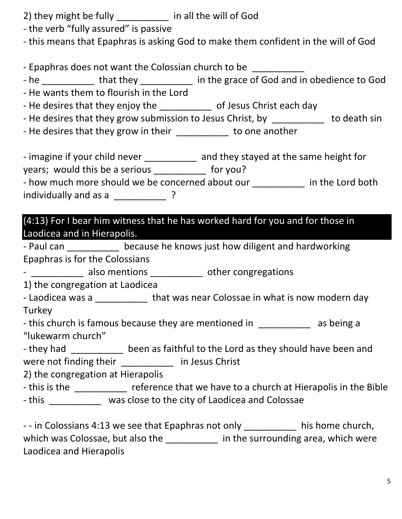- 2) they might be fully \_\_\_\_\_\_\_\_\_\_ in all the will of God
- the verb "fully assured" is passive
- this means that Epaphras is asking God to make them confident in the will of God

- Epaphras does not want the Colossian church to be

- he \_\_\_\_\_\_\_\_\_\_\_ that they \_\_\_\_\_\_\_\_\_\_ in the grace of God and in obedience to God
- He wants them to flourish in the Lord
- He desires that they enjoy the \_\_\_\_\_\_\_\_\_\_\_\_\_ of Jesus Christ each day
- He desires that they grow submission to Jesus Christ, by \_\_\_\_\_\_\_\_\_\_\_\_ to death sin
- He desires that they grow in their the storm one another

- imagine if your child never \_\_\_\_\_\_\_\_\_\_\_ and they stayed at the same height for years; would this be a serious \_\_\_\_\_\_\_\_\_\_ for you?

| - how much more should we be concerned about our | in the Lord both |
|--------------------------------------------------|------------------|
| individually and as a                            |                  |

(4:13) For I bear him witness that he has worked hard for you and for those in Laodicea and in Hierapolis.

- Paul can \_\_\_\_\_\_\_\_\_\_ because he knows just how diligent and hardworking Epaphras is for the Colossians

- \_\_\_\_\_\_\_\_\_\_\_ also mentions \_\_\_\_\_\_\_\_\_\_\_ other congregations

1) the congregation at Laodicea

- Laodicea was a \_\_\_\_\_\_\_\_\_\_\_\_ that was near Colossae in what is now modern day **Turkey** 

- this church is famous because they are mentioned in and as being a "lukewarm church"

- they had \_\_\_\_\_\_\_\_\_\_\_ been as faithful to the Lord as they should have been and were not finding their \_\_\_\_\_\_\_\_\_\_ in Jesus Christ

2) the congregation at Hierapolis

- this is the \_\_\_\_\_\_\_\_\_\_ reference that we have to a church at Hierapolis in the Bible - this was close to the city of Laodicea and Colossae

- - in Colossians 4:13 we see that Epaphras not only \_\_\_\_\_\_\_\_\_\_\_\_ his home church, which was Colossae, but also the \_\_\_\_\_\_\_\_\_\_\_ in the surrounding area, which were Laodicea and Hierapolis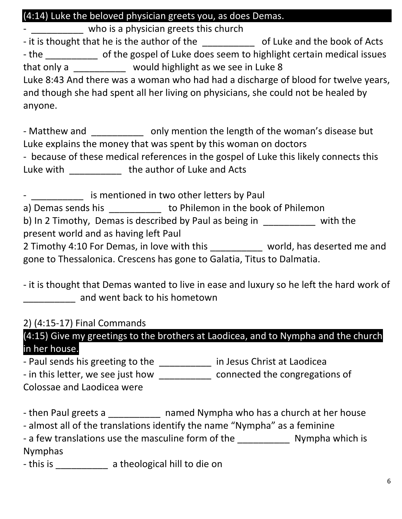## (4:14) Luke the beloved physician greets you, as does Demas.

\_\_\_\_\_\_\_\_\_\_\_ who is a physician greets this church - it is thought that he is the author of the \_\_\_\_\_\_\_\_\_\_\_\_\_\_ of Luke and the book of Acts - the contract of the gospel of Luke does seem to highlight certain medical issues that only a would highlight as we see in Luke 8 Luke 8:43 And there was a woman who had had a discharge of blood for twelve years, and though she had spent all her living on physicians, she could not be healed by anyone.

- Matthew and **the sum only mention the length of the woman's disease but** Luke explains the money that was spent by this woman on doctors - because of these medical references in the gospel of Luke this likely connects this Luke with \_\_\_\_\_\_\_\_\_\_\_\_ the author of Luke and Acts

- **Example 2** is mentioned in two other letters by Paul a) Demas sends his \_\_\_\_\_\_\_\_\_\_\_\_ to Philemon in the book of Philemon b) In 2 Timothy, Demas is described by Paul as being in Theorem 2 with the present world and as having left Paul 2 Timothy 4:10 For Demas, in love with this \_\_\_\_\_\_\_\_\_\_ world, has deserted me and gone to Thessalonica. Crescens has gone to Galatia, Titus to Dalmatia.

- it is thought that Demas wanted to live in ease and luxury so he left the hard work of and went back to his hometown

#### 2) (4:15-17) Final Commands

(4:15) Give my greetings to the brothers at Laodicea, and to Nympha and the church in her house.

- Paul sends his greeting to the \_\_\_\_\_\_\_\_\_\_\_\_ in Jesus Christ at Laodicea - in this letter, we see just how connected the congregations of

Colossae and Laodicea were

- then Paul greets a \_\_\_\_\_\_\_\_\_\_ named Nympha who has a church at her house

- almost all of the translations identify the name "Nympha" as a feminine

- a few translations use the masculine form of the \_\_\_\_\_\_\_\_\_\_\_\_\_\_\_ Nympha which is Nymphas

- this is \_\_\_\_\_\_\_\_\_\_\_ a theological hill to die on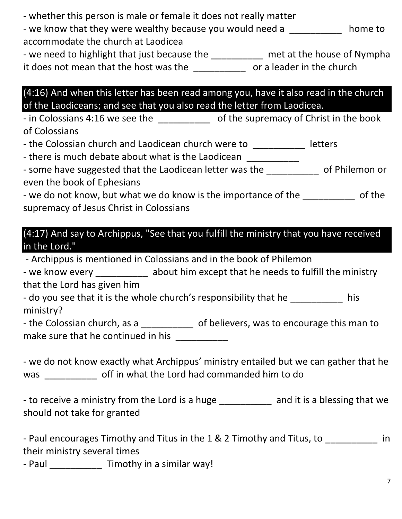| - whether this person is male or female it does not really matter<br>- we know that they were wealthy because you would need a<br>home to<br>accommodate the church at Laodicea<br>- we need to highlight that just because the ___________ met at the house of Nympha<br>it does not mean that the host was the _______________ or a leader in the church |
|------------------------------------------------------------------------------------------------------------------------------------------------------------------------------------------------------------------------------------------------------------------------------------------------------------------------------------------------------------|
| $(4:16)$ And when this letter has been read among you, have it also read in the church<br>of the Laodiceans; and see that you also read the letter from Laodicea.<br>- in Colossians 4:16 we see the _____________ of the supremacy of Christ in the book                                                                                                  |
| of Colossians<br>- the Colossian church and Laodicean church were to __________<br>letters<br>- there is much debate about what is the Laodicean __________                                                                                                                                                                                                |
| - some have suggested that the Laodicean letter was the ____________ of Philemon or<br>even the book of Ephesians<br>- we do not know, but what we do know is the importance of the ____________ of the                                                                                                                                                    |
| supremacy of Jesus Christ in Colossians<br>(4:17) And say to Archippus, "See that you fulfill the ministry that you have received<br>in the Lord."                                                                                                                                                                                                         |
| - Archippus is mentioned in Colossians and in the book of Philemon<br>- we know every ___________ about him except that he needs to fulfill the ministry<br>that the Lord has given him                                                                                                                                                                    |
| - do you see that it is the whole church's responsibility that he<br>his<br>ministry?                                                                                                                                                                                                                                                                      |
| - the Colossian church, as a ____________ of believers, was to encourage this man to<br>make sure that he continued in his ___________                                                                                                                                                                                                                     |
| - we do not know exactly what Archippus' ministry entailed but we can gather that he<br>was _____________ off in what the Lord had commanded him to do                                                                                                                                                                                                     |
| - to receive a ministry from the Lord is a huge ___________ and it is a blessing that we<br>should not take for granted                                                                                                                                                                                                                                    |
| - Paul encourages Timothy and Titus in the 1 & 2 Timothy and Titus, to _________<br>in<br>their ministry several times                                                                                                                                                                                                                                     |

- Paul \_\_\_\_\_\_\_\_\_\_\_\_\_ Timothy in a similar way!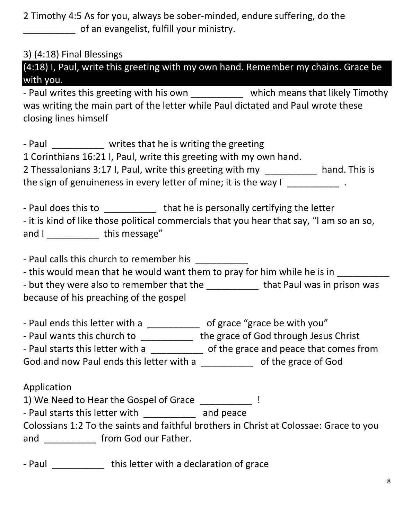2 Timothy 4:5 As for you, always be sober-minded, endure suffering, do the of an evangelist, fulfill your ministry.

3) (4:18) Final Blessings

| (4:18) I, Paul, write this greeting with my own hand. Remember my chains. Grace be |  |  |  |  |
|------------------------------------------------------------------------------------|--|--|--|--|
| with you.                                                                          |  |  |  |  |

- Paul writes this greeting with his own **which means that likely Timothy** was writing the main part of the letter while Paul dictated and Paul wrote these closing lines himself

- Paul \_\_\_\_\_\_\_\_\_\_ writes that he is writing the greeting

1 Corinthians 16:21 I, Paul, write this greeting with my own hand.

| 2 Thessalonians 3:17 I, Paul, write this greeting with my        | hand. This is |
|------------------------------------------------------------------|---------------|
| the sign of genuineness in every letter of mine; it is the way I |               |

| - Paul does this to | that he is personally certifying the letter                                              |
|---------------------|------------------------------------------------------------------------------------------|
|                     | - it is kind of like those political commercials that you hear that say, "I am so an so, |
| and I               | this message"                                                                            |

- Paul calls this church to remember his

- this would mean that he would want them to pray for him while he is in

| - but they were also to remember that the | that Paul was in prison was |
|-------------------------------------------|-----------------------------|
| because of his preaching of the gospel    |                             |

- Paul ends this letter with a \_\_\_\_\_\_\_\_\_\_\_\_ of grace "grace be with you"

- Paul wants this church to \_\_\_\_\_\_\_\_\_\_\_ the grace of God through Jesus Christ

- Paul starts this letter with a \_\_\_\_\_\_\_\_\_\_ of the grace and peace that comes from

God and now Paul ends this letter with a \_\_\_\_\_\_\_\_\_\_\_\_ of the grace of God

Application

1) We Need to Hear the Gospel of Grace  $\qquad \qquad$  !

- Paul starts this letter with \_\_\_\_\_\_\_\_\_\_\_ and peace

Colossians 1:2 To the saints and faithful brothers in Christ at Colossae: Grace to you and \_\_\_\_\_\_\_\_\_\_\_\_\_ from God our Father.

- Paul **this letter with a declaration of grace**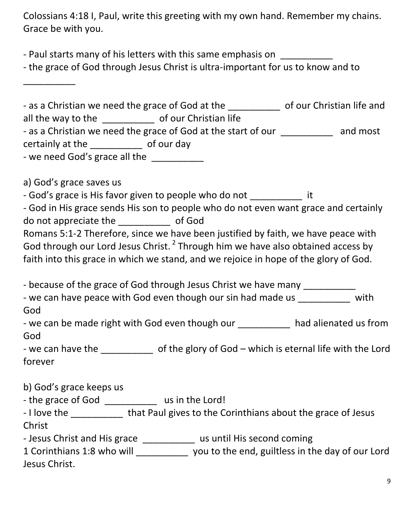Colossians 4:18 I, Paul, write this greeting with my own hand. Remember my chains. Grace be with you.

- Paul starts many of his letters with this same emphasis on

- the grace of God through Jesus Christ is ultra-important for us to know and to

| - as a Christian we need the grace of God at the |                                                               | of our Christian life and |
|--------------------------------------------------|---------------------------------------------------------------|---------------------------|
| all the way to the                               | of our Christian life                                         |                           |
|                                                  | - as a Christian we need the grace of God at the start of our | and most                  |
| certainly at the                                 | of our day                                                    |                           |
| - we need God's grace all the                    |                                                               |                           |

a) God's grace saves us

\_\_\_\_\_\_\_\_\_\_

- God's grace is His favor given to people who do not \_\_\_\_\_\_\_\_\_\_\_\_ it

|                       | - God in His grace sends His son to people who do not even want grace and certainly         |
|-----------------------|---------------------------------------------------------------------------------------------|
| do not appreciate the | of God                                                                                      |
|                       | Romans 5:1-2 Therefore, since we have been justified by faith, we have peace with           |
|                       | God through our Lord Jesus Christ. <sup>2</sup> Through him we have also obtained access by |

faith into this grace in which we stand, and we rejoice in hope of the glory of God.

- because of the grace of God through Jesus Christ we have many

| - we can have peace with God even though our sin had made us | with |
|--------------------------------------------------------------|------|
| God                                                          |      |

| - we can be made right with God even though our | had alienated us from |
|-------------------------------------------------|-----------------------|
| God                                             |                       |

- we can have the  $\qquad \qquad$  of the glory of God – which is eternal life with the Lord forever

b) God's grace keeps us

- the grace of God \_\_\_\_\_\_\_\_\_\_\_\_ us in the Lord!

| - I love the | that Paul gives to the Corinthians about the grace of Jesus |
|--------------|-------------------------------------------------------------|
| Christ       |                                                             |

- Jesus Christ and His grace \_\_\_\_\_\_\_\_\_\_\_ us until His second coming

| 1 Corinthians 1:8 who will | you to the end, guiltless in the day of our Lord |
|----------------------------|--------------------------------------------------|
| Jesus Christ.              |                                                  |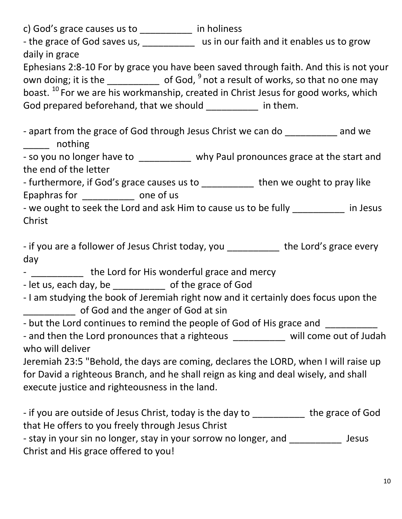| c) God's grace causes us to $\frac{1}{\sqrt{1-\frac{1}{\sqrt{1-\frac{1}{\sqrt{1-\frac{1}{\sqrt{1-\frac{1}{\sqrt{1-\frac{1}{\sqrt{1-\frac{1}{\sqrt{1-\frac{1}{\sqrt{1-\frac{1}{\sqrt{1-\frac{1}{\sqrt{1-\frac{1}{\sqrt{1-\frac{1}{\sqrt{1-\frac{1}{\sqrt{1-\frac{1}{\sqrt{1-\frac{1}{\sqrt{1-\frac{1}{\sqrt{1-\frac{1}{\sqrt{1-\frac{1}{\sqrt{1-\frac{1}{\sqrt{1-\frac{1}{\sqrt{1-\frac{1}{\sqrt{1-\frac{$ |
|-----------------------------------------------------------------------------------------------------------------------------------------------------------------------------------------------------------------------------------------------------------------------------------------------------------------------------------------------------------------------------------------------------------|
| - the grace of God saves us, ____________ us in our faith and it enables us to grow<br>daily in grace                                                                                                                                                                                                                                                                                                     |
| Ephesians 2:8-10 For by grace you have been saved through faith. And this is not your                                                                                                                                                                                                                                                                                                                     |
| own doing; it is the $\frac{1}{\sqrt{2}}$ of God, $\frac{9}{2}$ not a result of works, so that no one may                                                                                                                                                                                                                                                                                                 |
| boast. <sup>10</sup> For we are his workmanship, created in Christ Jesus for good works, which                                                                                                                                                                                                                                                                                                            |
| God prepared beforehand, that we should ___________ in them.                                                                                                                                                                                                                                                                                                                                              |
|                                                                                                                                                                                                                                                                                                                                                                                                           |
| - apart from the grace of God through Jesus Christ we can do ____________ and we<br>______ nothing                                                                                                                                                                                                                                                                                                        |
| - so you no longer have to __________ why Paul pronounces grace at the start and                                                                                                                                                                                                                                                                                                                          |
| the end of the letter                                                                                                                                                                                                                                                                                                                                                                                     |
| - furthermore, if God's grace causes us to ___________ then we ought to pray like                                                                                                                                                                                                                                                                                                                         |
| Epaphras for _____________ one of us                                                                                                                                                                                                                                                                                                                                                                      |
| - we ought to seek the Lord and ask Him to cause us to be fully __________ in Jesus                                                                                                                                                                                                                                                                                                                       |
| Christ                                                                                                                                                                                                                                                                                                                                                                                                    |
|                                                                                                                                                                                                                                                                                                                                                                                                           |
| - if you are a follower of Jesus Christ today, you ___________ the Lord's grace every                                                                                                                                                                                                                                                                                                                     |
|                                                                                                                                                                                                                                                                                                                                                                                                           |
|                                                                                                                                                                                                                                                                                                                                                                                                           |
| day                                                                                                                                                                                                                                                                                                                                                                                                       |
| - _____________ the Lord for His wonderful grace and mercy                                                                                                                                                                                                                                                                                                                                                |
| - let us, each day, be ______________ of the grace of God                                                                                                                                                                                                                                                                                                                                                 |
| - I am studying the book of Jeremiah right now and it certainly does focus upon the                                                                                                                                                                                                                                                                                                                       |
| of God and the anger of God at sin                                                                                                                                                                                                                                                                                                                                                                        |
| - but the Lord continues to remind the people of God of His grace and _________                                                                                                                                                                                                                                                                                                                           |
| - and then the Lord pronounces that a righteous __________ will come out of Judah                                                                                                                                                                                                                                                                                                                         |
| who will deliver                                                                                                                                                                                                                                                                                                                                                                                          |
| Jeremiah 23:5 "Behold, the days are coming, declares the LORD, when I will raise up                                                                                                                                                                                                                                                                                                                       |
| for David a righteous Branch, and he shall reign as king and deal wisely, and shall                                                                                                                                                                                                                                                                                                                       |
| execute justice and righteousness in the land.                                                                                                                                                                                                                                                                                                                                                            |
|                                                                                                                                                                                                                                                                                                                                                                                                           |
| - if you are outside of Jesus Christ, today is the day to ___________ the grace of God                                                                                                                                                                                                                                                                                                                    |
| that He offers to you freely through Jesus Christ<br><b>Jesus</b>                                                                                                                                                                                                                                                                                                                                         |
| - stay in your sin no longer, stay in your sorrow no longer, and ___________<br>Christ and His grace offered to you!                                                                                                                                                                                                                                                                                      |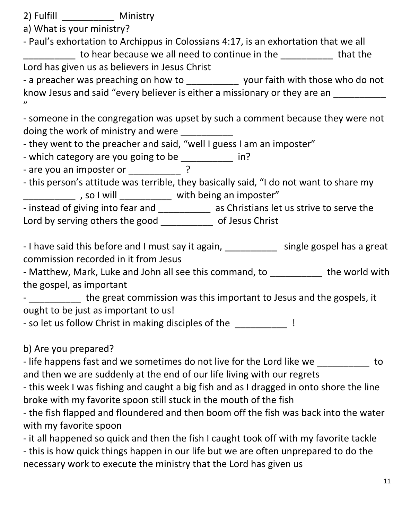2) Fulfill \_\_\_\_\_\_\_\_\_\_ Ministry

a) What is your ministry?

- Paul's exhortation to Archippus in Colossians 4:17, is an exhortation that we all to hear because we all need to continue in the \_\_\_\_\_\_\_\_\_\_\_ that the Lord has given us as believers in Jesus Christ

- a preacher was preaching on how to \_\_\_\_\_\_\_\_\_\_\_\_ your faith with those who do not know Jesus and said "every believer is either a missionary or they are an "

- someone in the congregation was upset by such a comment because they were not doing the work of ministry and were

- they went to the preacher and said, "well I guess I am an imposter"

- which category are you going to be \_\_\_\_\_\_\_\_\_\_\_ in?

- are you an imposter or  $\overline{?}$ 

- this person's attitude was terrible, they basically said, "I do not want to share my \_\_\_\_\_\_\_\_\_\_\_\_\_\_\_ , so I will \_\_\_\_\_\_\_\_\_\_\_\_\_ with being an imposter"

- instead of giving into fear and \_\_\_\_\_\_\_\_\_\_\_ as Christians let us strive to serve the Lord by serving others the good \_\_\_\_\_\_\_\_\_\_\_\_ of Jesus Christ

- I have said this before and I must say it again, \_\_\_\_\_\_\_\_\_\_\_\_\_ single gospel has a great commission recorded in it from Jesus

- Matthew, Mark, Luke and John all see this command, to \_\_\_\_\_\_\_\_\_\_\_ the world with the gospel, as important

- \_\_\_\_\_\_\_\_\_\_\_ the great commission was this important to Jesus and the gospels, it ought to be just as important to us!

- so let us follow Christ in making disciples of the  $\qquad$  !

b) Are you prepared?

- life happens fast and we sometimes do not live for the Lord like we to and then we are suddenly at the end of our life living with our regrets

- this week I was fishing and caught a big fish and as I dragged in onto shore the line broke with my favorite spoon still stuck in the mouth of the fish

- the fish flapped and floundered and then boom off the fish was back into the water with my favorite spoon

- it all happened so quick and then the fish I caught took off with my favorite tackle

- this is how quick things happen in our life but we are often unprepared to do the necessary work to execute the ministry that the Lord has given us